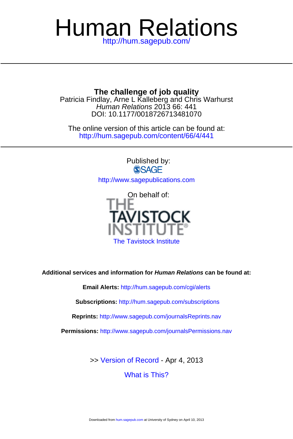# Human Relations <http://hum.sagepub.com/>

DOI: 10.1177/0018726713481070 Human Relations 2013 66: 441 Patricia Findlay, Arne L Kalleberg and Chris Warhurst **The challenge of job quality**

<http://hum.sagepub.com/content/66/4/441> The online version of this article can be found at:

> Published by:<br>
> SAGE <http://www.sagepublications.com>



**Additional services and information for Human Relations can be found at:**

**Email Alerts:** <http://hum.sagepub.com/cgi/alerts>

**Subscriptions:** <http://hum.sagepub.com/subscriptions>

**Reprints:** <http://www.sagepub.com/journalsReprints.nav>

**Permissions:** <http://www.sagepub.com/journalsPermissions.nav>

[What is This?](http://online.sagepub.com/site/sphelp/vorhelp.xhtml) >> [Version of Record -](http://hum.sagepub.com/content/66/4/441.full.pdf) Apr 4, 2013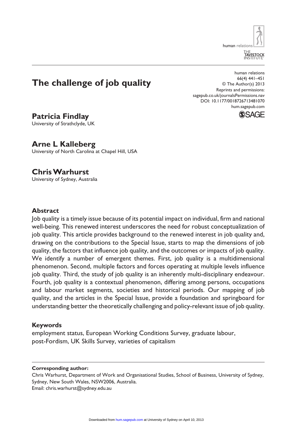

## **The challenge of job quality**

human relations 66(4) 441–451 © The Author(s) 2013 Reprints and permissions: sagepub.co.uk/journalsPermissions.nav DOI: 10.1177/0018726713481070 hum.sagepub.com



## **Patricia Findlay**

University of Strathclyde, UK

## **Arne L Kalleberg**

University of North Carolina at Chapel Hill, USA

## **Chris Warhurst**

University of Sydney, Australia

#### **Abstract**

Job quality is a timely issue because of its potential impact on individual, firm and national well-being. This renewed interest underscores the need for robust conceptualization of job quality. This article provides background to the renewed interest in job quality and, drawing on the contributions to the Special Issue, starts to map the dimensions of job quality, the factors that influence job quality, and the outcomes or impacts of job quality. We identify a number of emergent themes. First, job quality is a multidimensional phenomenon. Second, multiple factors and forces operating at multiple levels influence job quality. Third, the study of job quality is an inherently multi-disciplinary endeavour. Fourth, job quality is a contextual phenomenon, differing among persons, occupations and labour market segments, societies and historical periods. Our mapping of job quality, and the articles in the Special Issue, provide a foundation and springboard for understanding better the theoretically challenging and policy-relevant issue of job quality.

#### **Keywords**

employment status, European Working Conditions Survey, graduate labour, post-Fordism, UK Skills Survey, varieties of capitalism

#### **Corresponding author:**

Chris Warhurst, Department of Work and Organisational Studies, School of Business, University of Sydney, Sydney, New South Wales, NSW2006, Australia. Email: chris.warhurst@sydney.edu.au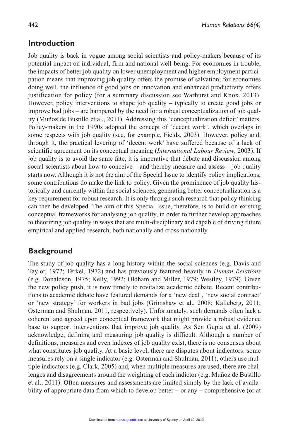## **Introduction**

Job quality is back in vogue among social scientists and policy-makers because of its potential impact on individual, firm and national well-being. For economies in trouble, the impacts of better job quality on lower unemployment and higher employment participation means that improving job quality offers the promise of salvation; for economies doing well, the influence of good jobs on innovation and enhanced productivity offers justification for policy (for a summary discussion see Warhurst and Knox, 2013). However, policy interventions to shape job quality – typically to create good jobs or improve bad jobs – are hampered by the need for a robust conceptualization of job quality (Muñoz de Bustillo et al., 2011). Addressing this 'conceptualization deficit' matters. Policy-makers in the 1990s adopted the concept of 'decent work', which overlaps in some respects with job quality (see, for example, Fields, 2003). However, policy and, through it, the practical levering of 'decent work' have suffered because of a lack of scientific agreement on its conceptual meaning (*International Labour Review*, 2003). If job quality is to avoid the same fate, it is imperative that debate and discussion among social scientists about how to conceive – and thereby measure and assess – job quality starts now. Although it is not the aim of the Special Issue to identify policy implications, some contributions do make the link to policy. Given the prominence of job quality historically and currently within the social sciences, generating better conceptualization is a key requirement for robust research. It is only through such research that policy thinking can then be developed. The aim of this Special Issue, therefore, is to build on existing conceptual frameworks for analysing job quality, in order to further develop approaches to theorizing job quality in ways that are multi-disciplinary and capable of driving future empirical and applied research, both nationally and cross-nationally.

## **Background**

The study of job quality has a long history within the social sciences (e.g. Davis and Taylor, 1972; Terkel, 1972) and has previously featured heavily in *Human Relations* (e.g. Donaldson, 1975; Kelly, 1992; Oldham and Miller, 1979; Westley, 1979). Given the new policy push, it is now timely to revitalize academic debate. Recent contributions to academic debate have featured demands for a 'new deal', 'new social contract' or 'new strategy' for workers in bad jobs (Grimshaw et al., 2008; Kalleberg, 2011; Osterman and Shulman, 2011, respectively). Unfortunately, such demands often lack a coherent and agreed upon conceptual framework that might provide a robust evidence base to support interventions that improve job quality. As Sen Gupta et al. (2009) acknowledge, defining and measuring job quality is difficult. Although a number of definitions, measures and even indexes of job quality exist, there is no consensus about what constitutes job quality. At a basic level, there are disputes about indicators: some measures rely on a single indicator (e.g. Osterman and Shulman, 2011), others use multiple indicators (e.g. Clark, 2005) and, when multiple measures are used, there are challenges and disagreements around the weighting of each indictor (e.g. Muñoz de Bustillo et al., 2011). Often measures and assessments are limited simply by the lack of availability of appropriate data from which to develop better − or any − comprehensive (or at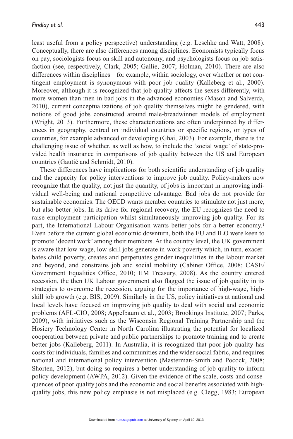least useful from a policy perspective) understanding (e.g. Leschke and Watt, 2008). Conceptually, there are also differences among disciplines. Economists typically focus on pay, sociologists focus on skill and autonomy, and psychologists focus on job satisfaction (see, respectively, Clark, 2005; Gallie, 2007; Holman, 2010). There are also differences within disciplines – for example, within sociology, over whether or not contingent employment is synonymous with poor job quality (Kalleberg et al., 2000). Moreover, although it is recognized that job quality affects the sexes differently, with more women than men in bad jobs in the advanced economies (Mason and Salverda, 2010), current conceptualizations of job quality themselves might be gendered, with notions of good jobs constructed around male-breadwinner models of employment (Wright, 2013). Furthermore, these characterizations are often underpinned by differences in geography, centred on individual countries or specific regions, or types of countries, for example advanced or developing (Ghai, 2003). For example, there is the challenging issue of whether, as well as how, to include the 'social wage' of state-provided health insurance in comparisons of job quality between the US and European countries (Gautié and Schmidt, 2010).

These differences have implications for both scientific understanding of job quality and the capacity for policy interventions to improve job quality. Policy-makers now recognize that the quality, not just the quantity, of jobs is important in improving individual well-being and national competitive advantage. Bad jobs do not provide for sustainable economies. The OECD wants member countries to stimulate not just more, but also better jobs. In its drive for regional recovery, the EU recognizes the need to raise employment participation whilst simultaneously improving job quality. For its part, the International Labour Organisation wants better jobs for a better economy.1 Even before the current global economic downturn, both the EU and ILO were keen to promote 'decent work' among their members. At the country level, the UK government is aware that low-wage, low-skill jobs generate in-work poverty which, in turn, exacerbates child poverty, creates and perpetuates gender inequalities in the labour market and beyond, and constrains job and social mobility (Cabinet Office, 2008; CASE/ Government Equalities Office, 2010; HM Treasury, 2008). As the country entered recession, the then UK Labour government also flagged the issue of job quality in its strategies to overcome the recession, arguing for the importance of high-wage, highskill job growth (e.g. BIS, 2009). Similarly in the US, policy initiatives at national and local levels have focused on improving job quality to deal with social and economic problems (AFL-CIO, 2008; Appelbaum et al., 2003; Brookings Institute, 2007; Parks, 2009), with initiatives such as the Wisconsin Regional Training Partnership and the Hosiery Technology Center in North Carolina illustrating the potential for localized cooperation between private and public partnerships to promote training and to create better jobs (Kalleberg, 2011). In Australia, it is recognized that poor job quality has costs for individuals, families and communities and the wider social fabric, and requires national and international policy intervention (Masterman-Smith and Pocock, 2008; Shorten, 2012), but doing so requires a better understanding of job quality to inform policy development (AWPA, 2012). Given the evidence of the scale, costs and consequences of poor quality jobs and the economic and social benefits associated with highquality jobs, this new policy emphasis is not misplaced (e.g. Clegg, 1983; European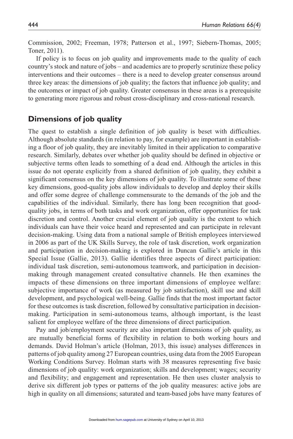Commission, 2002; Freeman, 1978; Patterson et al., 1997; Siebern-Thomas, 2005; Toner, 2011).

If policy is to focus on job quality and improvements made to the quality of each country's stock and nature of jobs – and academics are to properly scrutinize these policy interventions and their outcomes – there is a need to develop greater consensus around three key areas: the dimensions of job quality; the factors that influence job quality; and the outcomes or impact of job quality. Greater consensus in these areas is a prerequisite to generating more rigorous and robust cross-disciplinary and cross-national research.

## **Dimensions of job quality**

The quest to establish a single definition of job quality is beset with difficulties. Although absolute standards (in relation to pay, for example) are important in establishing a floor of job quality, they are inevitably limited in their application to comparative research. Similarly, debates over whether job quality should be defined in objective or subjective terms often leads to something of a dead end. Although the articles in this issue do not operate explicitly from a shared definition of job quality, they exhibit a significant consensus on the key dimensions of job quality. To illustrate some of these key dimensions, good-quality jobs allow individuals to develop and deploy their skills and offer some degree of challenge commensurate to the demands of the job and the capabilities of the individual. Similarly, there has long been recognition that goodquality jobs, in terms of both tasks and work organization, offer opportunities for task discretion and control. Another crucial element of job quality is the extent to which individuals can have their voice heard and represented and can participate in relevant decision-making. Using data from a national sample of British employees interviewed in 2006 as part of the UK Skills Survey, the role of task discretion, work organization and participation in decision-making is explored in Duncan Gallie's article in this Special Issue (Gallie, 2013). Gallie identifies three aspects of direct participation: individual task discretion, semi-autonomous teamwork, and participation in decisionmaking through management created consultative channels. He then examines the impacts of these dimensions on three important dimensions of employee welfare: subjective importance of work (as measured by job satisfaction), skill use and skill development, and psychological well-being. Gallie finds that the most important factor for these outcomes is task discretion, followed by consultative participation in decisionmaking. Participation in semi-autonomous teams, although important, is the least salient for employee welfare of the three dimensions of direct participation.

Pay and job/employment security are also important dimensions of job quality, as are mutually beneficial forms of flexibility in relation to both working hours and demands. David Holman's article (Holman, 2013, this issue) analyses differences in patterns of job quality among 27 European countries, using data from the 2005 European Working Conditions Survey. Holman starts with 38 measures representing five basic dimensions of job quality: work organization; skills and development; wages; security and flexibility; and engagement and representation. He then uses cluster analysis to derive six different job types or patterns of the job quality measures: active jobs are high in quality on all dimensions; saturated and team-based jobs have many features of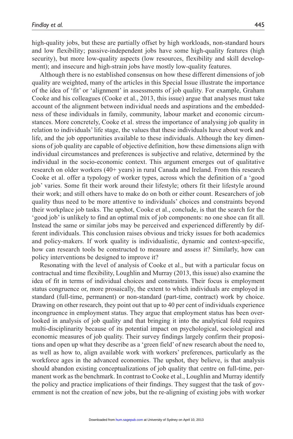high-quality jobs, but these are partially offset by high workloads, non-standard hours and low flexibility; passive-independent jobs have some high-quality features (high security), but more low-quality aspects (low resources, flexibility and skill development); and insecure and high-strain jobs have mostly low-quality features.

Although there is no established consensus on how these different dimensions of job quality are weighted, many of the articles in this Special Issue illustrate the importance of the idea of 'fit' or 'alignment' in assessments of job quality. For example, Graham Cooke and his colleagues (Cooke et al., 2013, this issue) argue that analyses must take account of the alignment between individual needs and aspirations and the embeddedness of these individuals in family, community, labour market and economic circumstances. More concretely, Cooke et al. stress the importance of analysing job quality in relation to individuals' life stage, the values that these individuals have about work and life, and the job opportunities available to these individuals. Although the key dimensions of job quality are capable of objective definition, how these dimensions align with individual circumstances and preferences is subjective and relative, determined by the individual in the socio-economic context. This argument emerges out of qualitative research on older workers (40+ years) in rural Canada and Ireland. From this research Cooke et al. offer a typology of worker types, across which the definition of a 'good job' varies. Some fit their work around their lifestyle; others fit their lifestyle around their work; and still others have to make do on both or either count. Researchers of job quality thus need to be more attentive to individuals' choices and constraints beyond their workplace job tasks. The upshot, Cooke et al., conclude, is that the search for the 'good job' is unlikely to find an optimal mix of job components: no one shoe can fit all. Instead the same or similar jobs may be perceived and experienced differently by different individuals. This conclusion raises obvious and tricky issues for both academics and policy-makers. If work quality is individualistic, dynamic and context-specific, how can research tools be constructed to measure and assess it? Similarly, how can policy interventions be designed to improve it?

Resonating with the level of analysis of Cooke et al., but with a particular focus on contractual and time flexibility, Loughlin and Murray (2013, this issue) also examine the idea of fit in terms of individual choices and constraints. Their focus is employment status congruence or, more prosaically, the extent to which individuals are employed in standard (full-time, permanent) or non-standard (part-time, contract) work by choice. Drawing on other research, they point out that up to 40 per cent of individuals experience incongruence in employment status. They argue that employment status has been overlooked in analysis of job quality and that bringing it into the analytical fold requires multi-disciplinarity because of its potential impact on psychological, sociological and economic measures of job quality. Their survey findings largely confirm their propositions and open up what they describe as a 'green field' of new research about the need to, as well as how to, align available work with workers' preferences, particularly as the workforce ages in the advanced economies. The upshot, they believe, is that analysis should abandon existing conceptualizations of job quality that centre on full-time, permanent work as the benchmark. In contrast to Cooke et al., Loughlin and Murray identify the policy and practice implications of their findings. They suggest that the task of government is not the creation of new jobs, but the re-aligning of existing jobs with worker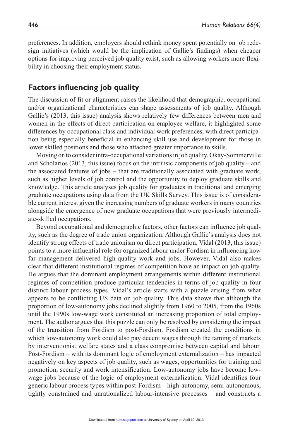preferences. In addition, employers should rethink money spent potentially on job redesign initiatives (which would be the implication of Gallie's findings) when cheaper options for improving perceived job quality exist, such as allowing workers more flexibility in choosing their employment status.

### **Factors influencing job quality**

The discussion of fit or alignment raises the likelihood that demographic, occupational and/or organizational characteristics can shape assessments of job quality. Although Gallie's (2013, this issue) analysis shows relatively few differences between men and women in the effects of direct participation on employee welfare, it highlighted some differences by occupational class and individual work preferences, with direct participation being especially beneficial in enhancing skill use and development for those in lower skilled positions and those who attached greater importance to skills.

Moving on to consider intra-occupational variations in job quality, Okay-Sommerville and Scholarios (2013, this issue) focus on the intrinsic components of job quality – and the associated features of jobs – that are traditionally associated with graduate work, such as higher levels of job control and the opportunity to deploy graduate skills and knowledge. This article analyses job quality for graduates in traditional and emerging graduate occupations using data from the UK Skills Survey. This issue is of considerable current interest given the increasing numbers of graduate workers in many countries alongside the emergence of new graduate occupations that were previously intermediate-skilled occupations.

Beyond occupational and demographic factors, other factors can influence job quality, such as the degree of trade union organization. Although Gallie's analysis does not identify strong effects of trade unionism on direct participation, Vidal (2013, this issue) points to a more influential role for organized labour under Fordism in influencing how far management delivered high-quality work and jobs. However, Vidal also makes clear that different institutional regimes of competition have an impact on job quality. He argues that the dominant employment arrangements within different institutional regimes of competition produce particular tendencies in terms of job quality in four distinct labour process types. Vidal's article starts with a puzzle arising from what appears to be conflicting US data on job quality. This data shows that although the proportion of low-autonomy jobs declined slightly from 1960 to 2005, from the 1960s until the 1990s low-wage work constituted an increasing proportion of total employment. The author argues that this puzzle can only be resolved by considering the impact of the transition from Fordism to post-Fordism. Fordism created the conditions in which low-autonomy work could also pay decent wages through the taming of markets by interventionist welfare states and a class compromise between capital and labour. Post-Fordism – with its dominant logic of employment externalization – has impacted negatively on key aspects of job quality, such as wages, opportunities for training and promotion, security and work intensification. Low-autonomy jobs have become lowwage jobs because of the logic of employment externalization. Vidal identifies four generic labour process types within post-Fordism – high-autonomy, semi-autonomous, tightly constrained and unrationalized labour-intensive processes – and constructs a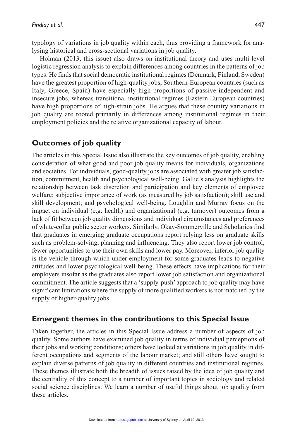typology of variations in job quality within each, thus providing a framework for analysing historical and cross-sectional variations in job quality.

Holman (2013, this issue) also draws on institutional theory and uses multi-level logistic regression analysis to explain differences among countries in the patterns of job types. He finds that social democratic institutional regimes (Denmark, Finland, Sweden) have the greatest proportion of high-quality jobs, Southern-European countries (such as Italy, Greece, Spain) have especially high proportions of passive-independent and insecure jobs, whereas transitional institutional regimes (Eastern European countries) have high proportions of high-strain jobs. He argues that these country variations in job quality are rooted primarily in differences among institutional regimes in their employment policies and the relative organizational capacity of labour.

## **Outcomes of job quality**

The articles in this Special Issue also illustrate the key outcomes of job quality, enabling consideration of what good and poor job quality means for individuals, organizations and societies. For individuals, good-quality jobs are associated with greater job satisfaction, commitment, health and psychological well-being. Gallie's analysis highlights the relationship between task discretion and participation and key elements of employee welfare: subjective importance of work (as measured by job satisfaction); skill use and skill development; and psychological well-being. Loughlin and Murray focus on the impact on individual (e.g. health) and organizational (e.g. turnover) outcomes from a lack of fit between job quality dimensions and individual circumstances and preferences of white-collar public sector workers. Similarly, Okay-Sommerville and Scholarios find that graduates in emerging graduate occupations report relying less on graduate skills such as problem-solving, planning and influencing. They also report lower job control, fewer opportunities to use their own skills and lower pay. Moreover, inferior job quality is the vehicle through which under-employment for some graduates leads to negative attitudes and lower psychological well-being. These effects have implications for their employers insofar as the graduates also report lower job satisfaction and organizational commitment. The article suggests that a 'supply-push' approach to job quality may have significant limitations where the supply of more qualified workers is not matched by the supply of higher-quality jobs.

## **Emergent themes in the contributions to this Special Issue**

Taken together, the articles in this Special Issue address a number of aspects of job quality. Some authors have examined job quality in terms of individual perceptions of their jobs and working conditions; others have looked at variations in job quality in different occupations and segments of the labour market; and still others have sought to explain diverse patterns of job quality in different countries and institutional regimes. These themes illustrate both the breadth of issues raised by the idea of job quality and the centrality of this concept to a number of important topics in sociology and related social science disciplines. We learn a number of useful things about job quality from these articles.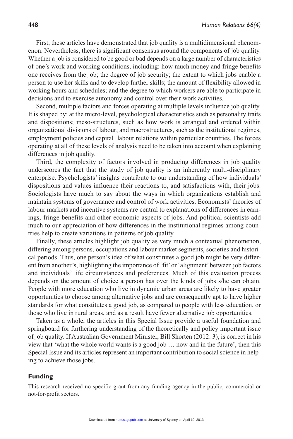First, these articles have demonstrated that job quality is a multidimensional phenomenon. Nevertheless, there is significant consensus around the components of job quality. Whether a job is considered to be good or bad depends on a large number of characteristics of one's work and working conditions, including: how much money and fringe benefits one receives from the job; the degree of job security; the extent to which jobs enable a person to use her skills and to develop further skills; the amount of flexibility allowed in working hours and schedules; and the degree to which workers are able to participate in decisions and to exercise autonomy and control over their work activities.

Second, multiple factors and forces operating at multiple levels influence job quality. It is shaped by: at the micro-level, psychological characteristics such as personality traits and dispositions; meso-structures, such as how work is arranged and ordered within organizational divisions of labour; and macrostructures, such as the institutional regimes, employment policies and capital−labour relations within particular countries. The forces operating at all of these levels of analysis need to be taken into account when explaining differences in job quality.

Third, the complexity of factors involved in producing differences in job quality underscores the fact that the study of job quality is an inherently multi-disciplinary enterprise. Psychologists' insights contribute to our understanding of how individuals' dispositions and values influence their reactions to, and satisfactions with, their jobs. Sociologists have much to say about the ways in which organizations establish and maintain systems of governance and control of work activities. Economists' theories of labour markets and incentive systems are central to explanations of differences in earnings, fringe benefits and other economic aspects of jobs. And political scientists add much to our appreciation of how differences in the institutional regimes among countries help to create variations in patterns of job quality.

Finally, these articles highlight job quality as very much a contextual phenomenon, differing among persons, occupations and labour market segments, societies and historical periods. Thus, one person's idea of what constitutes a good job might be very different from another's, highlighting the importance of 'fit' or 'alignment' between job factors and individuals' life circumstances and preferences. Much of this evaluation process depends on the amount of choice a person has over the kinds of jobs s/he can obtain. People with more education who live in dynamic urban areas are likely to have greater opportunities to choose among alternative jobs and are consequently apt to have higher standards for what constitutes a good job, as compared to people with less education, or those who live in rural areas, and as a result have fewer alternative job opportunities.

Taken as a whole, the articles in this Special Issue provide a useful foundation and springboard for furthering understanding of the theoretically and policy important issue of job quality. If Australian Government Minister, Bill Shorten (2012: 3), is correct in his view that 'what the whole world wants is a good job … now and in the future', then this Special Issue and its articles represent an important contribution to social science in helping to achieve those jobs.

#### **Funding**

This research received no specific grant from any funding agency in the public, commercial or not-for-profit sectors.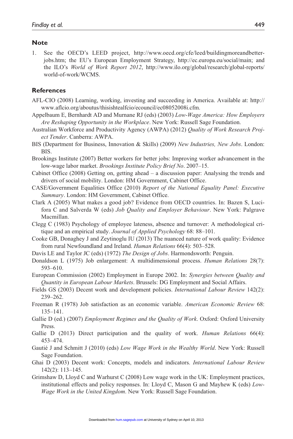#### **Note**

1. See the OECD's LEED project, http://www.oecd.org/cfe/leed/buildingmoreandbetterjobs.htm; the EU's European Employment Strategy, http://ec.europa.eu/social/main; and the ILO's *World of Work Report 2012*, http://www.ilo.org/global/research/global-reports/ world-of-work/WCMS.

#### **References**

- AFL-CIO (2008) Learning, working, investing and succeeding in America. Available at: http:// www.aflcio.org/aboutus/thisishtealfcio/ecouncil/ec08052008i.cfm.
- Appelbaum E, Bernhardt AD and Murnane RJ (eds) (2003) *Low-Wage America: How Employers Are Reshaping Opportunity in the Workplace*. New York: Russell Sage Foundation.
- Australian Workforce and Productivity Agency (AWPA) (2012) *Quality of Work Research Project Tender*. Canberra: AWPA.
- BIS (Department for Business, Innovation & Skills) (2009) *New Industries, New Jobs*. London: BIS.
- Brookings Institute (2007) Better workers for better jobs: Improving worker advancement in the low-wage labor market. *Brookings Institute Policy Brief No*. 2007–15.
- Cabinet Office (2008) Getting on, getting ahead a discussion paper: Analysing the trends and drivers of social mobility. London: HM Government, Cabinet Office.
- CASE/Government Equalities Office (2010) *Report of the National Equality Panel: Executive Summary*. London: HM Government, Cabinet Office.
- Clark A (2005) What makes a good job? Evidence from OECD countries. In: Bazen S, Lucifora C and Salverda W (eds) *Job Quality and Employer Behaviour*. New York: Palgrave Macmillan.
- Clegg C (1983) Psychology of employee lateness, absence and turnover: A methodological critique and an empirical study. *Journal of Applied Psychology* 68: 88–101.
- Cooke GB, Donaghey J and Zeytinoglu IU (2013) The nuanced nature of work quality: Evidence from rural Newfoundland and Ireland. *Human Relations* 66(4): 503–528.
- Davis LE and Taylor JC (eds) (1972) *The Design of Jobs*. Harmondsworth: Penguin.
- Donaldson L (1975) Job enlargement: A multidimensional process. *Human Relations* 28(7): 593–610.
- European Commission (2002) Employment in Europe 2002. In: *Synergies between Quality and Quantity in European Labour Markets*. Brussels: DG Employment and Social Affairs.
- Fields GS (2003) Decent work and development policies. *International Labour Review* 142(2): 239–262.
- Freeman R (1978) Job satisfaction as an economic variable. *American Economic Review* 68: 135–141.
- Gallie D (ed.) (2007) *Employment Regimes and the Quality of Work*. Oxford: Oxford University Press.
- Gallie D (2013) Direct participation and the quality of work. *Human Relations* 66(4): 453–474.
- Gautié J and Schmitt J (2010) (eds) *Low Wage Work in the Wealthy World*. New York: Russell Sage Foundation.
- Ghai D (2003) Decent work: Concepts, models and indicators. *International Labour Review* 142(2): 113–145.
- Grimshaw D, Lloyd C and Warhurst C (2008) Low wage work in the UK: Employment practices, institutional effects and policy responses. In: Lloyd C, Mason G and Mayhew K (eds) *Low-Wage Work in the United Kingdom*. New York: Russell Sage Foundation.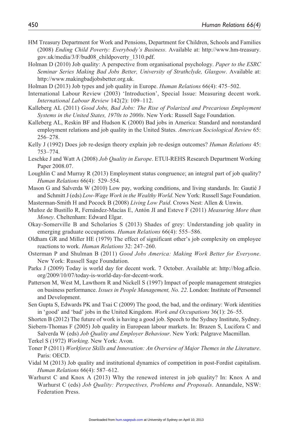- HM Treasury Department for Work and Pensions, Department for Children, Schools and Families (2008) *Ending Child Poverty: Everybody's Business*. Available at: http://www.hm-treasury. gov.uk/media/3/F/bud08\_childpoverty\_1310.pdf.
- Holman D (2010) Job quality: A perspective from organisational psychology. *Paper to the ESRC Seminar Series Making Bad Jobs Better, University of Strathclyde, Glasgow*. Available at: http://www.makingbadjobsbetter.org.uk.
- Holman D (2013) Job types and job quality in Europe. *Human Relations* 66(4): 475–502.
- International Labour Review (2003) 'Introduction', Special Issue: Measuring decent work. *International Labour Review* 142(2): 109–112.
- Kalleberg AL (2011) *Good Jobs, Bad Jobs: The Rise of Polarized and Precarious Employment Systems in the United States, 1970s to 2000s*. New York: Russell Sage Foundation.
- Kalleberg AL, Reskin BF and Hudson K (2000) Bad jobs in America: Standard and nonstandard employment relations and job quality in the United States. *American Sociological Review* 65: 256–278.
- Kelly J (1992) Does job re-design theory explain job re-design outcomes? *Human Relations* 45: 753–774.
- Leschke J and Watt A (2008) *Job Quality in Europe*. ETUI-REHS Research Department Working Paper 2008.07.
- Loughlin C and Murray R (2013) Employment status congruence; an integral part of job quality? *Human Relations* 66(4): 529–554.
- Mason G and Salverda W (2010) Low pay, working conditions, and living standards. In: Gautié J and Schmitt J (eds) *Low-Wage Work in the Wealthy World*. New York: Russell Sage Foundation.
- Masterman-Smith H and Pocock B (2008) *Living Low Paid*. Crows Nest: Allen & Unwin.
- Muñoz de Bustillo R, Fernández-Macías E, Antón JI and Esteve F (2011) *Measuring More than Money*. Cheltenham: Edward Elgar.
- Okay-Somerville B and Scholarios S (2013) Shades of grey: Understanding job quality in emerging graduate occupations. *Human Relations* 66(4): 555–586.
- Oldham GR and Miller HE (1979) The effect of significant other's job complexity on employee reactions to work. *Human Relations* 32: 247–260.
- Osterman P and Shulman B (2011) *Good Jobs America: Making Work Better for Everyone*. New York: Russell Sage Foundation.
- Parks J (2009) Today is world day for decent work. 7 October. Available at: http://blog.aflcio. org/2009/10/07/today-is-world-day-for-decent-work.
- Patterson M, West M, Lawthorn R and Nickell S (1997) Impact of people management strategies on business performance. *Issues in People Management, No. 22*. London: Institute of Personnel and Development.
- Sen Gupta S, Edwards PK and Tsai C (2009) The good, the bad, and the ordinary: Work identities in 'good' and 'bad' jobs in the United Kingdom. *Work and Occupations* 36(1): 26–55.
- Shorten B (2012) The future of work is having a good job. Speech to the Sydney Institute, Sydney.
- Siebern-Thomas F (2005) Job quality in European labour markets. In: Brazen S, Lucifora C and Salverda W (eds) *Job Quality and Employer Behaviour*. New York: Palgrave Macmillan.
- Terkel S (1972) *Working*. New York: Avon.
- Toner P (2011) *Workforce Skills and Innovation: An Overview of Major Themes in the Literature*. Paris: OECD.
- Vidal M (2013) Job quality and institutional dynamics of competition in post-Fordist capitalism. *Human Relations* 66(4): 587–612.
- Warhurst C and Knox A (2013) Why the renewed interest in job quality? In: Knox A and Warhurst C (eds) *Job Quality: Perspectives, Problems and Proposals*. Annandale, NSW: Federation Press.